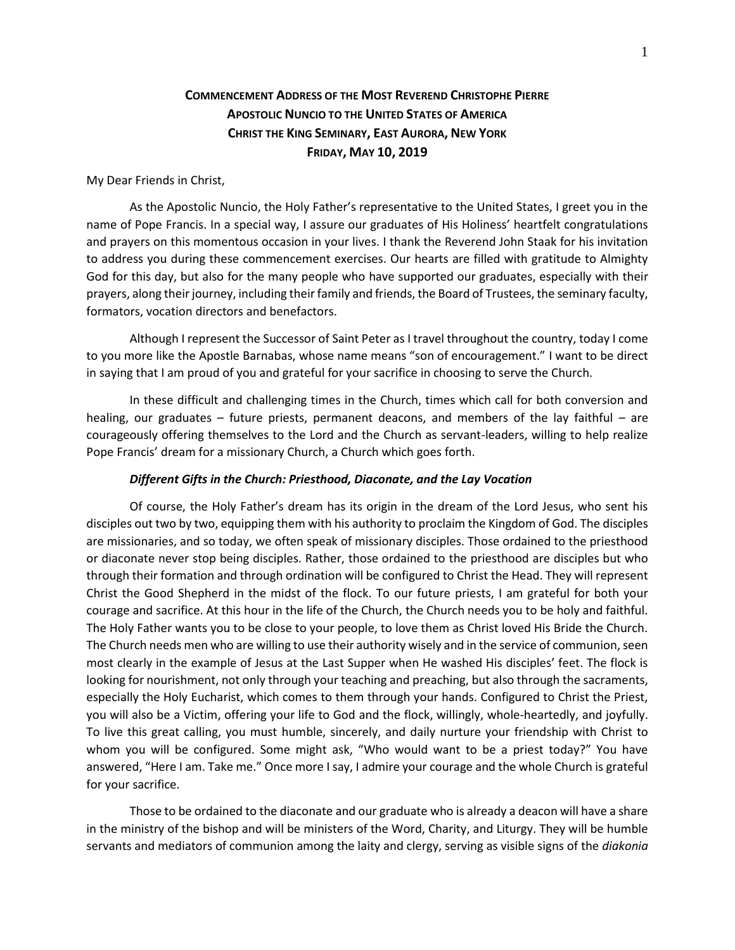# **COMMENCEMENT ADDRESS OF THE MOST REVEREND CHRISTOPHE PIERRE APOSTOLIC NUNCIO TO THE UNITED STATES OF AMERICA CHRIST THE KING SEMINARY, EAST AURORA, NEW YORK FRIDAY, MAY 10, 2019**

My Dear Friends in Christ,

As the Apostolic Nuncio, the Holy Father's representative to the United States, I greet you in the name of Pope Francis. In a special way, I assure our graduates of His Holiness' heartfelt congratulations and prayers on this momentous occasion in your lives. I thank the Reverend John Staak for his invitation to address you during these commencement exercises. Our hearts are filled with gratitude to Almighty God for this day, but also for the many people who have supported our graduates, especially with their prayers, along their journey, including their family and friends, the Board of Trustees, the seminary faculty, formators, vocation directors and benefactors.

Although I represent the Successor of Saint Peter as I travel throughout the country, today I come to you more like the Apostle Barnabas, whose name means "son of encouragement." I want to be direct in saying that I am proud of you and grateful for your sacrifice in choosing to serve the Church.

In these difficult and challenging times in the Church, times which call for both conversion and healing, our graduates – future priests, permanent deacons, and members of the lay faithful – are courageously offering themselves to the Lord and the Church as servant-leaders, willing to help realize Pope Francis' dream for a missionary Church, a Church which goes forth.

#### *Different Gifts in the Church: Priesthood, Diaconate, and the Lay Vocation*

Of course, the Holy Father's dream has its origin in the dream of the Lord Jesus, who sent his disciples out two by two, equipping them with his authority to proclaim the Kingdom of God. The disciples are missionaries, and so today, we often speak of missionary disciples. Those ordained to the priesthood or diaconate never stop being disciples. Rather, those ordained to the priesthood are disciples but who through their formation and through ordination will be configured to Christ the Head. They will represent Christ the Good Shepherd in the midst of the flock. To our future priests, I am grateful for both your courage and sacrifice. At this hour in the life of the Church, the Church needs you to be holy and faithful. The Holy Father wants you to be close to your people, to love them as Christ loved His Bride the Church. The Church needs men who are willing to use their authority wisely and in the service of communion, seen most clearly in the example of Jesus at the Last Supper when He washed His disciples' feet. The flock is looking for nourishment, not only through your teaching and preaching, but also through the sacraments, especially the Holy Eucharist, which comes to them through your hands. Configured to Christ the Priest, you will also be a Victim, offering your life to God and the flock, willingly, whole-heartedly, and joyfully. To live this great calling, you must humble, sincerely, and daily nurture your friendship with Christ to whom you will be configured. Some might ask, "Who would want to be a priest today?" You have answered, "Here I am. Take me." Once more I say, I admire your courage and the whole Church is grateful for your sacrifice.

Those to be ordained to the diaconate and our graduate who is already a deacon will have a share in the ministry of the bishop and will be ministers of the Word, Charity, and Liturgy. They will be humble servants and mediators of communion among the laity and clergy, serving as visible signs of the *diakonia*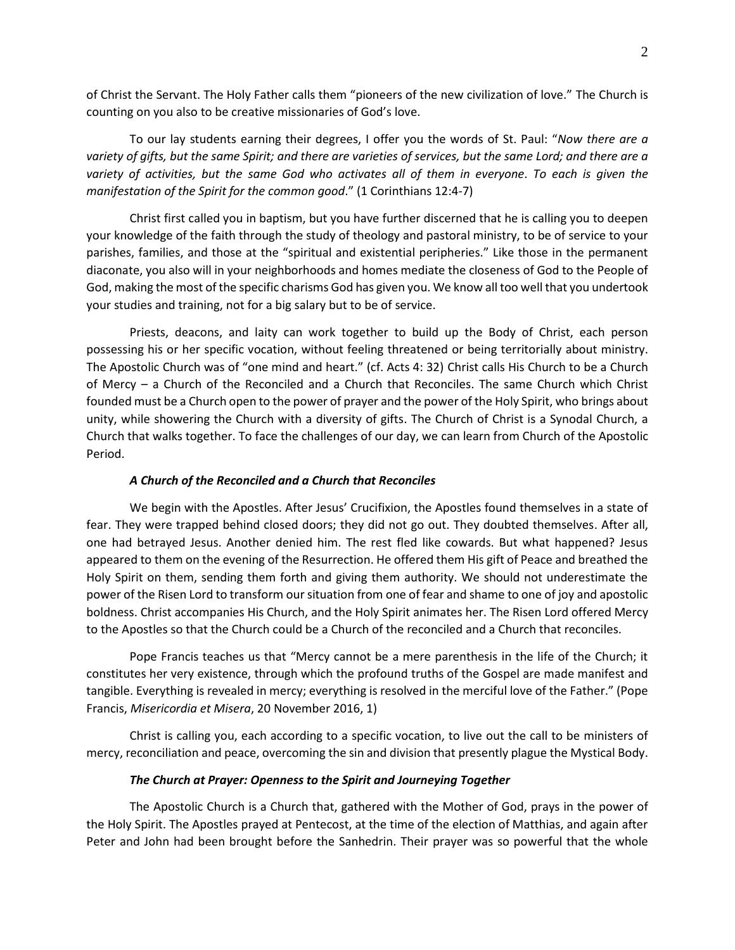of Christ the Servant. The Holy Father calls them "pioneers of the new civilization of love." The Church is counting on you also to be creative missionaries of God's love.

To our lay students earning their degrees, I offer you the words of St. Paul: "*Now there are a variety of gifts, but the same Spirit; and there are varieties of services, but the same Lord; and there are a variety of activities, but the same God who activates all of them in everyone*. *To each is given the manifestation of the Spirit for the common good*." (1 Corinthians 12:4-7)

Christ first called you in baptism, but you have further discerned that he is calling you to deepen your knowledge of the faith through the study of theology and pastoral ministry, to be of service to your parishes, families, and those at the "spiritual and existential peripheries." Like those in the permanent diaconate, you also will in your neighborhoods and homes mediate the closeness of God to the People of God, making the most of the specific charisms God has given you. We know all too well that you undertook your studies and training, not for a big salary but to be of service.

Priests, deacons, and laity can work together to build up the Body of Christ, each person possessing his or her specific vocation, without feeling threatened or being territorially about ministry. The Apostolic Church was of "one mind and heart." (cf. Acts 4: 32) Christ calls His Church to be a Church of Mercy – a Church of the Reconciled and a Church that Reconciles. The same Church which Christ founded must be a Church open to the power of prayer and the power of the Holy Spirit, who brings about unity, while showering the Church with a diversity of gifts. The Church of Christ is a Synodal Church, a Church that walks together. To face the challenges of our day, we can learn from Church of the Apostolic Period.

## *A Church of the Reconciled and a Church that Reconciles*

We begin with the Apostles. After Jesus' Crucifixion, the Apostles found themselves in a state of fear. They were trapped behind closed doors; they did not go out. They doubted themselves. After all, one had betrayed Jesus. Another denied him. The rest fled like cowards. But what happened? Jesus appeared to them on the evening of the Resurrection. He offered them His gift of Peace and breathed the Holy Spirit on them, sending them forth and giving them authority. We should not underestimate the power of the Risen Lord to transform our situation from one of fear and shame to one of joy and apostolic boldness. Christ accompanies His Church, and the Holy Spirit animates her. The Risen Lord offered Mercy to the Apostles so that the Church could be a Church of the reconciled and a Church that reconciles.

Pope Francis teaches us that "Mercy cannot be a mere parenthesis in the life of the Church; it constitutes her very existence, through which the profound truths of the Gospel are made manifest and tangible. Everything is revealed in mercy; everything is resolved in the merciful love of the Father." (Pope Francis, *Misericordia et Misera*, 20 November 2016, 1)

Christ is calling you, each according to a specific vocation, to live out the call to be ministers of mercy, reconciliation and peace, overcoming the sin and division that presently plague the Mystical Body.

### *The Church at Prayer: Openness to the Spirit and Journeying Together*

The Apostolic Church is a Church that, gathered with the Mother of God, prays in the power of the Holy Spirit. The Apostles prayed at Pentecost, at the time of the election of Matthias, and again after Peter and John had been brought before the Sanhedrin. Their prayer was so powerful that the whole